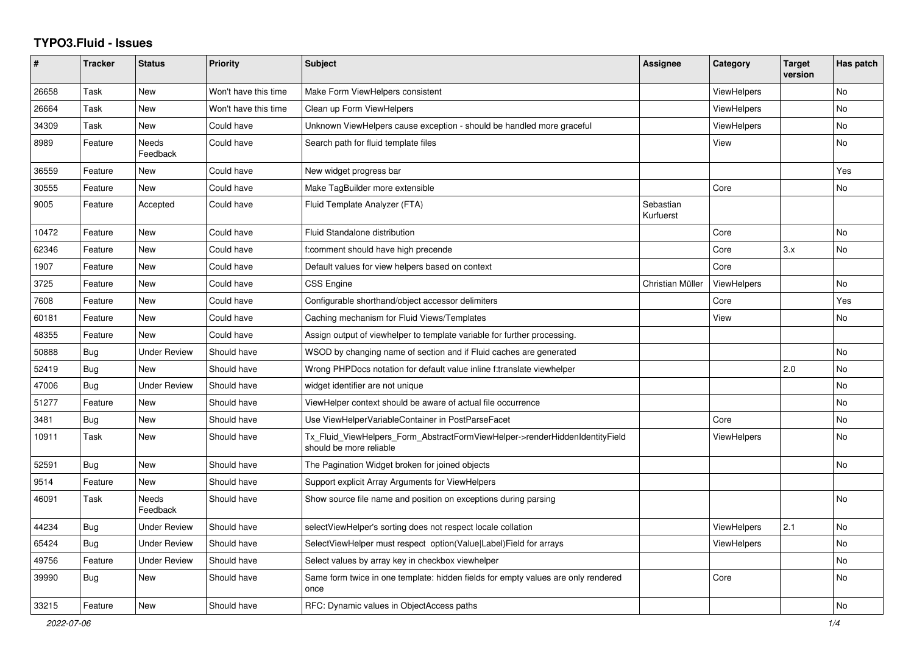## **TYPO3.Fluid - Issues**

| #     | <b>Tracker</b> | <b>Status</b>       | <b>Priority</b>      | <b>Subject</b>                                                                                         | Assignee               | Category           | <b>Target</b><br>version | Has patch |
|-------|----------------|---------------------|----------------------|--------------------------------------------------------------------------------------------------------|------------------------|--------------------|--------------------------|-----------|
| 26658 | Task           | New                 | Won't have this time | Make Form ViewHelpers consistent                                                                       |                        | <b>ViewHelpers</b> |                          | <b>No</b> |
| 26664 | Task           | <b>New</b>          | Won't have this time | Clean up Form ViewHelpers                                                                              |                        | <b>ViewHelpers</b> |                          | <b>No</b> |
| 34309 | Task           | New                 | Could have           | Unknown ViewHelpers cause exception - should be handled more graceful                                  |                        | ViewHelpers        |                          | No        |
| 8989  | Feature        | Needs<br>Feedback   | Could have           | Search path for fluid template files                                                                   |                        | View               |                          | No        |
| 36559 | Feature        | New                 | Could have           | New widget progress bar                                                                                |                        |                    |                          | Yes       |
| 30555 | Feature        | <b>New</b>          | Could have           | Make TagBuilder more extensible                                                                        |                        | Core               |                          | <b>No</b> |
| 9005  | Feature        | Accepted            | Could have           | Fluid Template Analyzer (FTA)                                                                          | Sebastian<br>Kurfuerst |                    |                          |           |
| 10472 | Feature        | <b>New</b>          | Could have           | Fluid Standalone distribution                                                                          |                        | Core               |                          | No        |
| 62346 | Feature        | <b>New</b>          | Could have           | f:comment should have high precende                                                                    |                        | Core               | 3.x                      | <b>No</b> |
| 1907  | Feature        | New                 | Could have           | Default values for view helpers based on context                                                       |                        | Core               |                          |           |
| 3725  | Feature        | New                 | Could have           | CSS Engine                                                                                             | Christian Müller       | ViewHelpers        |                          | <b>No</b> |
| 7608  | Feature        | New                 | Could have           | Configurable shorthand/object accessor delimiters                                                      |                        | Core               |                          | Yes       |
| 60181 | Feature        | New                 | Could have           | Caching mechanism for Fluid Views/Templates                                                            |                        | View               |                          | No        |
| 48355 | Feature        | <b>New</b>          | Could have           | Assign output of viewhelper to template variable for further processing.                               |                        |                    |                          |           |
| 50888 | <b>Bug</b>     | <b>Under Review</b> | Should have          | WSOD by changing name of section and if Fluid caches are generated                                     |                        |                    |                          | <b>No</b> |
| 52419 | <b>Bug</b>     | <b>New</b>          | Should have          | Wrong PHPDocs notation for default value inline f:translate viewhelper                                 |                        |                    | 2.0                      | <b>No</b> |
| 47006 | Bug            | Under Review        | Should have          | widget identifier are not unique                                                                       |                        |                    |                          | <b>No</b> |
| 51277 | Feature        | New                 | Should have          | ViewHelper context should be aware of actual file occurrence                                           |                        |                    |                          | No        |
| 3481  | Bug            | New                 | Should have          | Use ViewHelperVariableContainer in PostParseFacet                                                      |                        | Core               |                          | No        |
| 10911 | Task           | <b>New</b>          | Should have          | Tx Fluid ViewHelpers Form AbstractFormViewHelper->renderHiddenIdentityField<br>should be more reliable |                        | ViewHelpers        |                          | No.       |
| 52591 | Bug            | <b>New</b>          | Should have          | The Pagination Widget broken for joined objects                                                        |                        |                    |                          | <b>No</b> |
| 9514  | Feature        | <b>New</b>          | Should have          | Support explicit Array Arguments for ViewHelpers                                                       |                        |                    |                          |           |
| 46091 | Task           | Needs<br>Feedback   | Should have          | Show source file name and position on exceptions during parsing                                        |                        |                    |                          | <b>No</b> |
| 44234 | <b>Bug</b>     | Under Review        | Should have          | selectViewHelper's sorting does not respect locale collation                                           |                        | <b>ViewHelpers</b> | 2.1                      | <b>No</b> |
| 65424 | Bug            | <b>Under Review</b> | Should have          | SelectViewHelper must respect option(Value Label)Field for arrays                                      |                        | ViewHelpers        |                          | <b>No</b> |
| 49756 | Feature        | <b>Under Review</b> | Should have          | Select values by array key in checkbox viewhelper                                                      |                        |                    |                          | <b>No</b> |
| 39990 | Bug            | New                 | Should have          | Same form twice in one template: hidden fields for empty values are only rendered<br>once              |                        | Core               |                          | No        |
| 33215 | Feature        | New                 | Should have          | RFC: Dynamic values in ObjectAccess paths                                                              |                        |                    |                          | No        |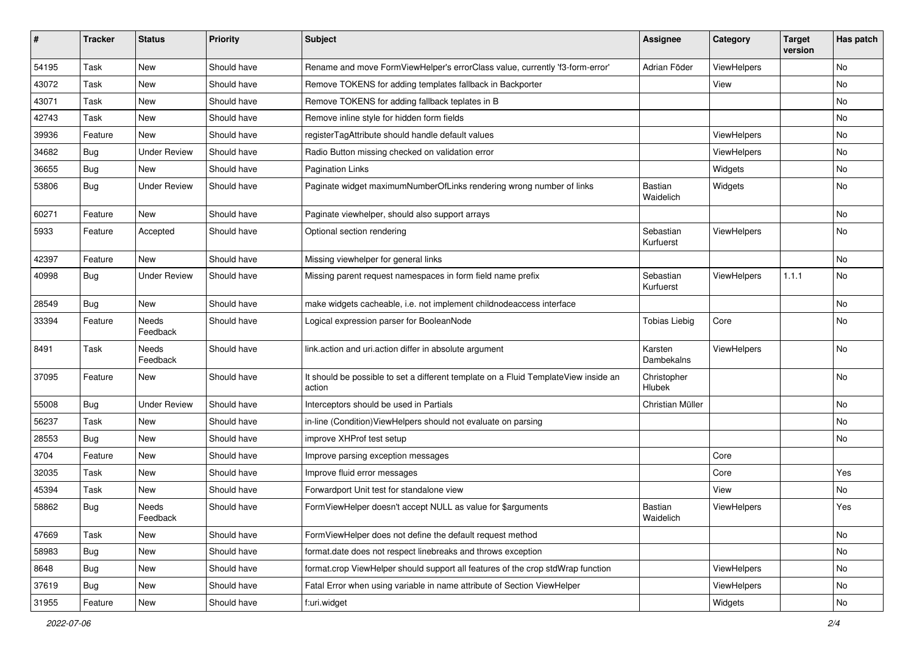| #     | <b>Tracker</b> | <b>Status</b>       | <b>Priority</b> | Subject                                                                                       | <b>Assignee</b>             | Category           | <b>Target</b><br>version | Has patch |
|-------|----------------|---------------------|-----------------|-----------------------------------------------------------------------------------------------|-----------------------------|--------------------|--------------------------|-----------|
| 54195 | Task           | New                 | Should have     | Rename and move FormViewHelper's errorClass value, currently 'f3-form-error'                  | Adrian Föder                | ViewHelpers        |                          | <b>No</b> |
| 43072 | Task           | New                 | Should have     | Remove TOKENS for adding templates fallback in Backporter                                     |                             | View               |                          | No        |
| 43071 | Task           | New                 | Should have     | Remove TOKENS for adding fallback teplates in B                                               |                             |                    |                          | No        |
| 42743 | Task           | New                 | Should have     | Remove inline style for hidden form fields                                                    |                             |                    |                          | No        |
| 39936 | Feature        | New                 | Should have     | registerTagAttribute should handle default values                                             |                             | <b>ViewHelpers</b> |                          | No        |
| 34682 | Bug            | <b>Under Review</b> | Should have     | Radio Button missing checked on validation error                                              |                             | ViewHelpers        |                          | No        |
| 36655 | Bug            | New                 | Should have     | <b>Pagination Links</b>                                                                       |                             | Widgets            |                          | No        |
| 53806 | Bug            | <b>Under Review</b> | Should have     | Paginate widget maximumNumberOfLinks rendering wrong number of links                          | <b>Bastian</b><br>Waidelich | Widgets            |                          | No        |
| 60271 | Feature        | <b>New</b>          | Should have     | Paginate viewhelper, should also support arrays                                               |                             |                    |                          | No        |
| 5933  | Feature        | Accepted            | Should have     | Optional section rendering                                                                    | Sebastian<br>Kurfuerst      | ViewHelpers        |                          | No        |
| 42397 | Feature        | New                 | Should have     | Missing viewhelper for general links                                                          |                             |                    |                          | No        |
| 40998 | Bug            | <b>Under Review</b> | Should have     | Missing parent request namespaces in form field name prefix                                   | Sebastian<br>Kurfuerst      | ViewHelpers        | 1.1.1                    | No        |
| 28549 | Bug            | New                 | Should have     | make widgets cacheable, i.e. not implement childnodeaccess interface                          |                             |                    |                          | No        |
| 33394 | Feature        | Needs<br>Feedback   | Should have     | Logical expression parser for BooleanNode                                                     | <b>Tobias Liebig</b>        | Core               |                          | No        |
| 8491  | Task           | Needs<br>Feedback   | Should have     | link.action and uri.action differ in absolute argument                                        | Karsten<br>Dambekalns       | ViewHelpers        |                          | No        |
| 37095 | Feature        | New                 | Should have     | It should be possible to set a different template on a Fluid TemplateView inside an<br>action | Christopher<br>Hlubek       |                    |                          | No        |
| 55008 | Bug            | <b>Under Review</b> | Should have     | Interceptors should be used in Partials                                                       | Christian Müller            |                    |                          | No        |
| 56237 | Task           | New                 | Should have     | in-line (Condition) View Helpers should not evaluate on parsing                               |                             |                    |                          | No        |
| 28553 | Bug            | New                 | Should have     | improve XHProf test setup                                                                     |                             |                    |                          | No        |
| 4704  | Feature        | New                 | Should have     | Improve parsing exception messages                                                            |                             | Core               |                          |           |
| 32035 | Task           | New                 | Should have     | Improve fluid error messages                                                                  |                             | Core               |                          | Yes       |
| 45394 | Task           | New                 | Should have     | Forwardport Unit test for standalone view                                                     |                             | View               |                          | No        |
| 58862 | Bug            | Needs<br>Feedback   | Should have     | FormViewHelper doesn't accept NULL as value for \$arguments                                   | Bastian<br>Waidelich        | ViewHelpers        |                          | Yes       |
| 47669 | Task           | New                 | Should have     | FormViewHelper does not define the default request method                                     |                             |                    |                          | No        |
| 58983 | <b>Bug</b>     | New                 | Should have     | format.date does not respect linebreaks and throws exception                                  |                             |                    |                          | No        |
| 8648  | Bug            | New                 | Should have     | format.crop ViewHelper should support all features of the crop stdWrap function               |                             | ViewHelpers        |                          | No        |
| 37619 | Bug            | New                 | Should have     | Fatal Error when using variable in name attribute of Section ViewHelper                       |                             | ViewHelpers        |                          | No        |
| 31955 | Feature        | New                 | Should have     | f:uri.widget                                                                                  |                             | Widgets            |                          | No        |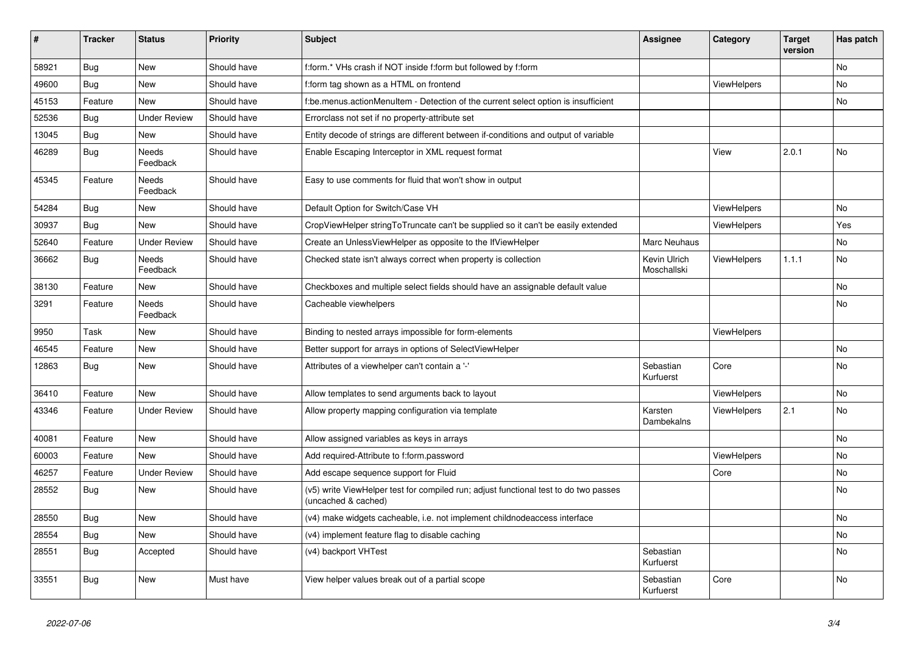| #     | <b>Tracker</b> | <b>Status</b>            | <b>Priority</b> | <b>Subject</b>                                                                                              | <b>Assignee</b>             | Category           | <b>Target</b><br>version | Has patch |
|-------|----------------|--------------------------|-----------------|-------------------------------------------------------------------------------------------------------------|-----------------------------|--------------------|--------------------------|-----------|
| 58921 | Bug            | <b>New</b>               | Should have     | f:form.* VHs crash if NOT inside f:form but followed by f:form                                              |                             |                    |                          | No        |
| 49600 | <b>Bug</b>     | New                      | Should have     | f:form tag shown as a HTML on frontend                                                                      |                             | ViewHelpers        |                          | No        |
| 45153 | Feature        | <b>New</b>               | Should have     | f:be.menus.actionMenuItem - Detection of the current select option is insufficient                          |                             |                    |                          | No        |
| 52536 | <b>Bug</b>     | <b>Under Review</b>      | Should have     | Errorclass not set if no property-attribute set                                                             |                             |                    |                          |           |
| 13045 | Bug            | New                      | Should have     | Entity decode of strings are different between if-conditions and output of variable                         |                             |                    |                          |           |
| 46289 | <b>Bug</b>     | Needs<br>Feedback        | Should have     | Enable Escaping Interceptor in XML request format                                                           |                             | View               | 2.0.1                    | No        |
| 45345 | Feature        | <b>Needs</b><br>Feedback | Should have     | Easy to use comments for fluid that won't show in output                                                    |                             |                    |                          |           |
| 54284 | <b>Bug</b>     | New                      | Should have     | Default Option for Switch/Case VH                                                                           |                             | ViewHelpers        |                          | No        |
| 30937 | Bug            | New                      | Should have     | CropViewHelper stringToTruncate can't be supplied so it can't be easily extended                            |                             | ViewHelpers        |                          | Yes       |
| 52640 | Feature        | <b>Under Review</b>      | Should have     | Create an UnlessViewHelper as opposite to the IfViewHelper                                                  | <b>Marc Neuhaus</b>         |                    |                          | No        |
| 36662 | <b>Bug</b>     | <b>Needs</b><br>Feedback | Should have     | Checked state isn't always correct when property is collection                                              | Kevin Ulrich<br>Moschallski | ViewHelpers        | 1.1.1                    | No        |
| 38130 | Feature        | New                      | Should have     | Checkboxes and multiple select fields should have an assignable default value                               |                             |                    |                          | No        |
| 3291  | Feature        | Needs<br>Feedback        | Should have     | Cacheable viewhelpers                                                                                       |                             |                    |                          | No        |
| 9950  | Task           | <b>New</b>               | Should have     | Binding to nested arrays impossible for form-elements                                                       |                             | ViewHelpers        |                          |           |
| 46545 | Feature        | New                      | Should have     | Better support for arrays in options of SelectViewHelper                                                    |                             |                    |                          | No        |
| 12863 | Bug            | New                      | Should have     | Attributes of a viewhelper can't contain a '-'                                                              | Sebastian<br>Kurfuerst      | Core               |                          | No        |
| 36410 | Feature        | <b>New</b>               | Should have     | Allow templates to send arguments back to layout                                                            |                             | <b>ViewHelpers</b> |                          | No        |
| 43346 | Feature        | <b>Under Review</b>      | Should have     | Allow property mapping configuration via template                                                           | Karsten<br>Dambekalns       | <b>ViewHelpers</b> | 2.1                      | No        |
| 40081 | Feature        | New                      | Should have     | Allow assigned variables as keys in arrays                                                                  |                             |                    |                          | No        |
| 60003 | Feature        | New                      | Should have     | Add required-Attribute to f:form.password                                                                   |                             | <b>ViewHelpers</b> |                          | No        |
| 46257 | Feature        | <b>Under Review</b>      | Should have     | Add escape sequence support for Fluid                                                                       |                             | Core               |                          | No        |
| 28552 | <b>Bug</b>     | New                      | Should have     | (v5) write ViewHelper test for compiled run; adjust functional test to do two passes<br>(uncached & cached) |                             |                    |                          | No        |
| 28550 | Bug            | New                      | Should have     | (v4) make widgets cacheable, i.e. not implement childnodeaccess interface                                   |                             |                    |                          | No        |
| 28554 | <b>Bug</b>     | New                      | Should have     | (v4) implement feature flag to disable caching                                                              |                             |                    |                          | No        |
| 28551 | Bug            | Accepted                 | Should have     | (v4) backport VHTest                                                                                        | Sebastian<br>Kurfuerst      |                    |                          | No        |
| 33551 | Bug            | <b>New</b>               | Must have       | View helper values break out of a partial scope                                                             | Sebastian<br>Kurfuerst      | Core               |                          | No        |